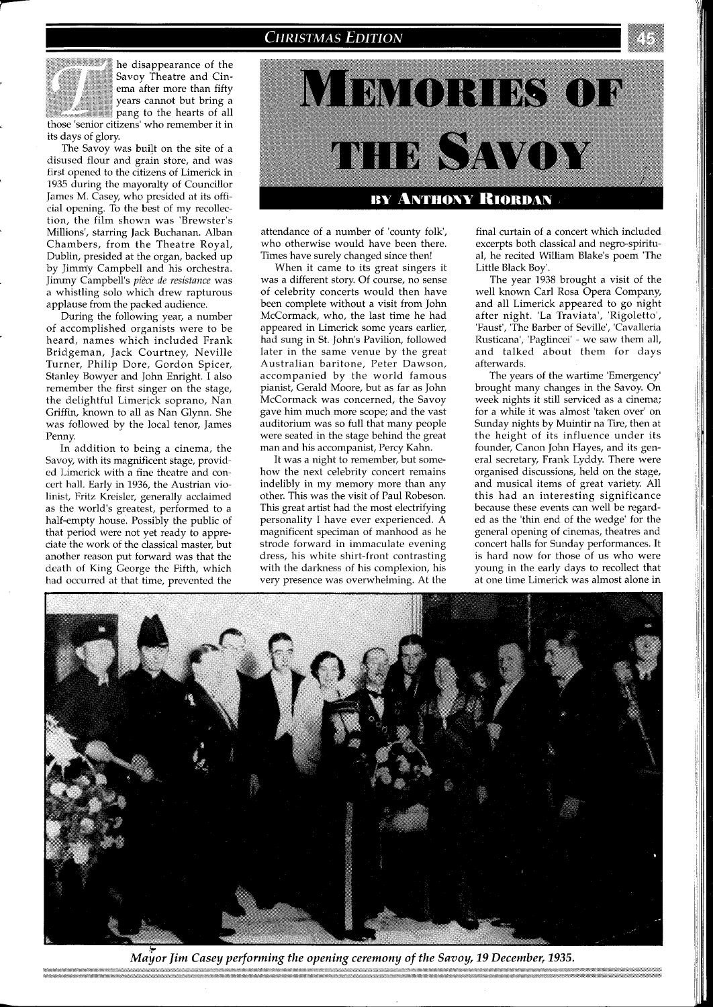

the disappearance of the **Yavoy Theatre and Cin-**<br>**Example 1996 Savoy Theatre and Cin-**<br>**Savoy Theatre and Cin-**Savoy Theatre and Cinema after more than fifty<br>years cannot but bring a <sup>5</sup><br>
<sup>2</sup> Savoy Theatre and Cin-<br>
ema after more than fifty<br>
years cannot but bring a<br>
pang to the hearts of all<br>
those 'senior citizens' who remember it in

its days of glory. The Savoy was built on the site of a disused flour and grain store, and was first opened to the citizens of Limerick in 1935 during the mayoralty of Councillor James M. Casey, who presided at its official opening. To the best of my recollection, the film shown was 'Brewster's Millions', starring Jack Buchanan. Alban

Chambers, from the Theatre Royal, Dublin, presided at the organ, backed up by Jimm'y Campbell and his orchestra. Jimmy campbell's *pi2ce de resistance* was a whistling solo which drew rapturous applause from the packed audience.

During the following year, a number of accomplished organists were to be heard, names which included Frank Bridgeman, Jack Courtney, Neville Turner, Philip Dore, Gordon Spicer, Stanley Bowyer and John Enright. I also remember the first singer on the stage, the delightful Limerick soprano, Nan Griffin, known to all as Nan Glynn. She was followed by the local tenor, James Pennv.

In addition to being a cinema, the Savoy, with its magnificent stage, provided Limerick with a fine theatre and concert hall. Early in 1936, the Austrian violinist, Fritz Kreisler, generally acclaimed as the world's greatest, performed to a half-empty house. Possibly the public of that period were not yet ready to appreciate the work of the classical master, but another reason put forward was that the death of King George the Fifth, which had occurred at that time, prevented the



attendance of a number of 'county folk', who otherwise would have been there. Times have surely changed since then!

When it came to its great singers it was a different story. Of course, no sense of celebrity concerts would then have been complete without a visit from John McCormack, who, the last time he had appeared in Limerick some years earlier, had sung in St. John's Pavilion, followed later in the same venue by the great Australian baritone, Peter Dawson, accompanied by the world famous pianist, Gerald Moore, but as far as John McCormack was concerned, the Savoy gave him much more scope; and the vast auditorium was so full that many people were seated in the stage behind the great man and his accompanist, Percy Kahn.

It was a night to remember, but somehow the next celebrity concert remains indelibly in my memory more than any other. This was the visit of Paul Robeson. This great artist had the most electrifying personality I have ever experienced. A magnificent speciman of manhood as he strode forward in immaculate evening dress, his white shirt-front contrasting with the darkness of his complexion, his very presence was overwhelming. At the final curtain of a concert which included excerpts both classical and negro-spiritual, he recited William Blake's poem 'The Little Black Boy'.

The year 1938 brought a visit of the well known Car1 Rosa Opera Company, and all Limerick appeared to go night after night. 'La Traviata', 'Rigoletto', 'Faust', 'The Barber of Seville', 'Cavalleria Rusticana', 'Paglincei' - we saw them all, and talked about them for days afterwards.

The years of the wartime 'Emergency' brought many changes in the Savoy. On week nights it still serviced as a cinema; for a while it was almost 'taken over' on Sunday nights by Muintir na Tire, then at the height of its influence under its founder, Canon John Hayes, and its general secretary, Frank Lyddy. There were organised discussions, held on the stage, and musical items of great variety. All this had an interesting significance because these events can well be regarded as the 'thin end of the wedge' for the general opening of cinemas, theatres and concert halls for Sunday performances. It is hard now for those of us who were young in the early days to recollect that at one time Limerick was almost alone in



Mayor Jim Casey performing the opening ceremony of the Savoy, 19 December, 1935.